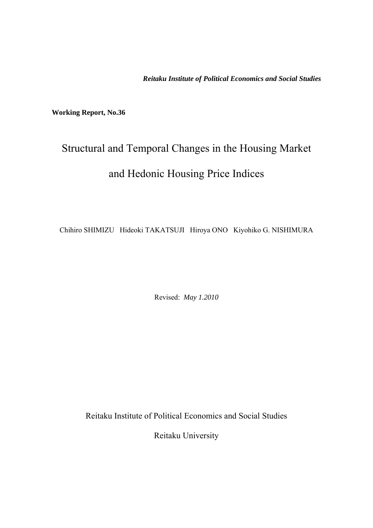*Reitaku Institute of Political Economics and Social Studies* 

**Working Report, No.36** 

# Structural and Temporal Changes in the Housing Market and Hedonic Housing Price Indices

Chihiro SHIMIZU Hideoki TAKATSUJI Hiroya ONO Kiyohiko G. NISHIMURA

Revised: *May 1.2010* 

Reitaku Institute of Political Economics and Social Studies

Reitaku University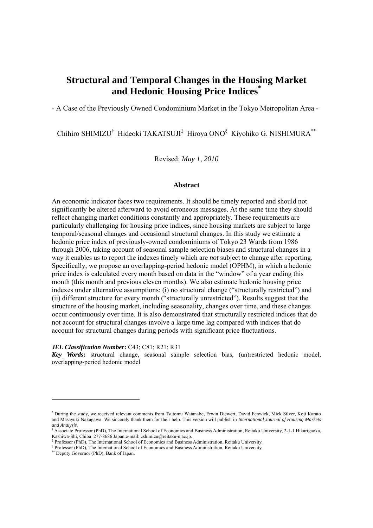# **Structural and Temporal Changes in the Housing Market and Hedonic Housing Price Indices\***

- A Case of the Previously Owned Condominium Market in the Tokyo Metropolitan Area -

Chihiro SHIMIZU<sup>†</sup> Hideoki TAKATSUJI<sup>‡</sup> Hiroya ONO<sup>§</sup> Kiyohiko G. NISHIMURA<sup>\*\*</sup>

Revised: *May 1, 2010*

#### **Abstract**

An economic indicator faces two requirements. It should be timely reported and should not significantly be altered afterward to avoid erroneous messages. At the same time they should reflect changing market conditions constantly and appropriately. These requirements are particularly challenging for housing price indices, since housing markets are subject to large temporal/seasonal changes and occasional structural changes. In this study we estimate a hedonic price index of previously-owned condominiums of Tokyo 23 Wards from 1986 through 2006, taking account of seasonal sample selection biases and structural changes in a way it enables us to report the indexes timely which are *not* subject to change after reporting. Specifically, we propose an overlapping-period hedonic model (OPHM), in which a hedonic price index is calculated every month based on data in the "window" of a year ending this month (this month and previous eleven months). We also estimate hedonic housing price indexes under alternative assumptions: (i) no structural change ("structurally restricted") and (ii) different structure for every month ("structurally unrestricted"). Results suggest that the structure of the housing market, including seasonality, changes over time, and these changes occur continuously over time. It is also demonstrated that structurally restricted indices that do not account for structural changes involve a large time lag compared with indices that do account for structural changes during periods with significant price fluctuations.

#### *JEL Classification Number***:** C43; C81; R21; R31

*Key Words***:** structural change, seasonal sample selection bias, (un)restricted hedonic model, overlapping-period hedonic model

-

<sup>\*</sup> During the study, we received relevant comments from Tsutomu Watanabe, Erwin Diewert, David Fenwick, Mick Silver, Koji Karato and Masayuki Nakagawa. We sincerely thank them for their help. This version will publish in *International Journal of Housing Markets and Analysis.*

<sup>†</sup> Associate Professor (PhD), The International School of Economics and Business Administration, Reitaku University, 2-1-1 Hikarigaoka, Kashiwa-Shi, Chiba 277-8686 Japan,e-mail: cshimizu@reitaku-u.ac.jp.

Professor (PhD), The International School of Economics and Business Administration, Reitaku University.

<sup>§</sup> Professor (PhD), The International School of Economics and Business Administration, Reitaku University. \*\* Deputy Governor (PhD), Bank of Japan.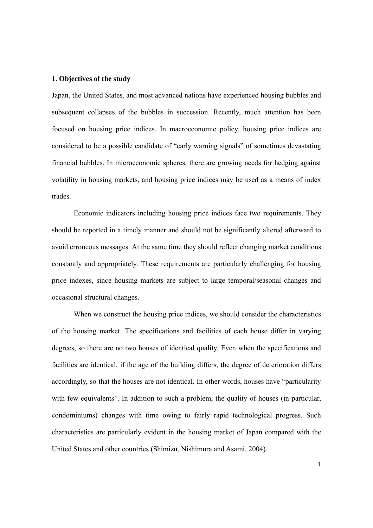### **1. Objectives of the study**

Japan, the United States, and most advanced nations have experienced housing bubbles and subsequent collapses of the bubbles in succession. Recently, much attention has been focused on housing price indices. In macroeconomic policy, housing price indices are considered to be a possible candidate of "early warning signals" of sometimes devastating financial bubbles. In microeconomic spheres, there are growing needs for hedging against volatility in housing markets, and housing price indices may be used as a means of index trades.

Economic indicators including housing price indices face two requirements. They should be reported in a timely manner and should not be significantly altered afterward to avoid erroneous messages. At the same time they should reflect changing market conditions constantly and appropriately. These requirements are particularly challenging for housing price indexes, since housing markets are subject to large temporal/seasonal changes and occasional structural changes.

When we construct the housing price indices, we should consider the characteristics of the housing market. The specifications and facilities of each house differ in varying degrees, so there are no two houses of identical quality. Even when the specifications and facilities are identical, if the age of the building differs, the degree of deterioration differs accordingly, so that the houses are not identical. In other words, houses have "particularity with few equivalents". In addition to such a problem, the quality of houses (in particular, condominiums) changes with time owing to fairly rapid technological progress. Such characteristics are particularly evident in the housing market of Japan compared with the United States and other countries (Shimizu, Nishimura and Asami, 2004).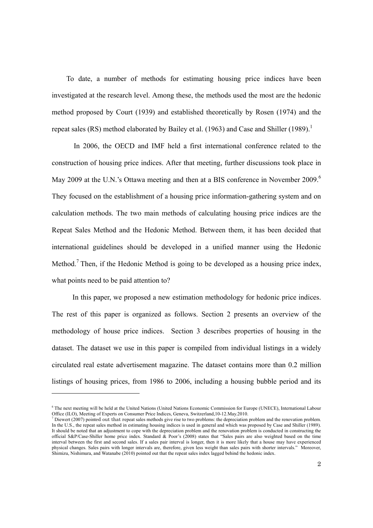To date, a number of methods for estimating housing price indices have been investigated at the research level. Among these, the methods used the most are the hedonic method proposed by Court (1939) and established theoretically by Rosen (1974) and the repeat sales (RS) method elaborated by Bailey et al. (1963) and Case and Shiller (1989).<sup>1</sup>

In 2006, the OECD and IMF held a first international conference related to the construction of housing price indices. After that meeting, further discussions took place in May 2009 at the U.N.'s Ottawa meeting and then at a BIS conference in November 2009.<sup>6</sup> They focused on the establishment of a housing price information-gathering system and on calculation methods. The two main methods of calculating housing price indices are the Repeat Sales Method and the Hedonic Method. Between them, it has been decided that international guidelines should be developed in a unified manner using the Hedonic Method.<sup>7</sup> Then, if the Hedonic Method is going to be developed as a housing price index, what points need to be paid attention to?

 In this paper, we proposed a new estimation methodology for hedonic price indices. The rest of this paper is organized as follows. Section 2 presents an overview of the methodology of house price indices. Section 3 describes properties of housing in the dataset. The dataset we use in this paper is compiled from individual listings in a widely circulated real estate advertisement magazine. The dataset contains more than 0.2 million listings of housing prices, from 1986 to 2006, including a housing bubble period and its

-

<sup>6</sup> The next meeting will be held at the United Nations (United Nations Economic Commission for Europe (UNECE), International Labour Office (ILO), Meeting of Experts on Consumer Price Indices, Geneva, Switzerland,10-12.May.2010.

<sup>&</sup>lt;sup>7</sup> Diewert (2007) pointed out that repeat sales methods give rise to two problems: the depreciation problem and the renovation problem. In the U.S., the repeat sales method in estimating housing indices is used in general and which was proposed by Case and Shiller (1989). It should be noted that an adjustment to cope with the depreciation problem and the renovation problem is conducted in constructing the official S&P/Case-Shiller home price index. Standard  $\&$  Poor's (2008) states that "Sales pairs are also weighted based on the time interval between the first and second sales. If a sales pair interval is longer, then it is more likely that a house may have experienced physical changes. Sales pairs with longer intervals are, therefore, given less weight than sales pairs with shorter intervals." Moreover, Shimizu, Nishimura, and Watanabe (2010) pointed out that the repeat sales index lagged behind the hedonic index.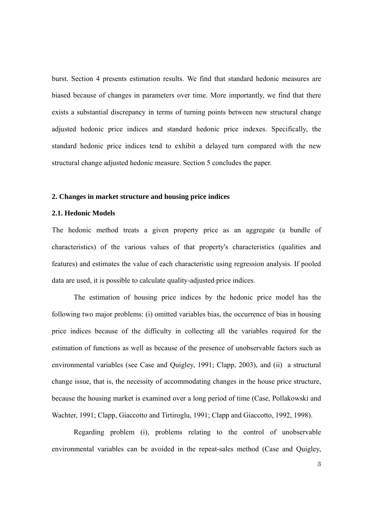burst. Section 4 presents estimation results. We find that standard hedonic measures are biased because of changes in parameters over time. More importantly, we find that there exists a substantial discrepancy in terms of turning points between new structural change adjusted hedonic price indices and standard hedonic price indexes. Specifically, the standard hedonic price indices tend to exhibit a delayed turn compared with the new structural change adjusted hedonic measure. Section 5 concludes the paper.

#### **2. Changes in market structure and housing price indices**

#### **2.1. Hedonic Models**

The hedonic method treats a given property price as an aggregate (a bundle of characteristics) of the various values of that property's characteristics (qualities and features) and estimates the value of each characteristic using regression analysis. If pooled data are used, it is possible to calculate quality-adjusted price indices.

The estimation of housing price indices by the hedonic price model has the following two major problems: (i) omitted variables bias, the occurrence of bias in housing price indices because of the difficulty in collecting all the variables required for the estimation of functions as well as because of the presence of unobservable factors such as environmental variables (see Case and Quigley, 1991; Clapp, 2003), and (ii) a structural change issue, that is, the necessity of accommodating changes in the house price structure, because the housing market is examined over a long period of time (Case, Pollakowski and Wachter, 1991; Clapp, Giaccotto and Tirtiroglu, 1991; Clapp and Giaccotto, 1992, 1998).

Regarding problem (i), problems relating to the control of unobservable environmental variables can be avoided in the repeat-sales method (Case and Quigley,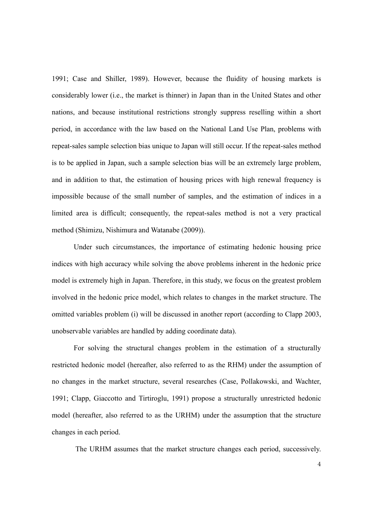1991; Case and Shiller, 1989). However, because the fluidity of housing markets is considerably lower (i.e., the market is thinner) in Japan than in the United States and other nations, and because institutional restrictions strongly suppress reselling within a short period, in accordance with the law based on the National Land Use Plan, problems with repeat-sales sample selection bias unique to Japan will still occur. If the repeat-sales method is to be applied in Japan, such a sample selection bias will be an extremely large problem, and in addition to that, the estimation of housing prices with high renewal frequency is impossible because of the small number of samples, and the estimation of indices in a limited area is difficult; consequently, the repeat-sales method is not a very practical method (Shimizu, Nishimura and Watanabe (2009)).

Under such circumstances, the importance of estimating hedonic housing price indices with high accuracy while solving the above problems inherent in the hedonic price model is extremely high in Japan. Therefore, in this study, we focus on the greatest problem involved in the hedonic price model, which relates to changes in the market structure. The omitted variables problem (i) will be discussed in another report (according to Clapp 2003, unobservable variables are handled by adding coordinate data).

For solving the structural changes problem in the estimation of a structurally restricted hedonic model (hereafter, also referred to as the RHM) under the assumption of no changes in the market structure, several researches (Case, Pollakowski, and Wachter, 1991; Clapp, Giaccotto and Tirtiroglu, 1991) propose a structurally unrestricted hedonic model (hereafter, also referred to as the URHM) under the assumption that the structure changes in each period.

The URHM assumes that the market structure changes each period, successively.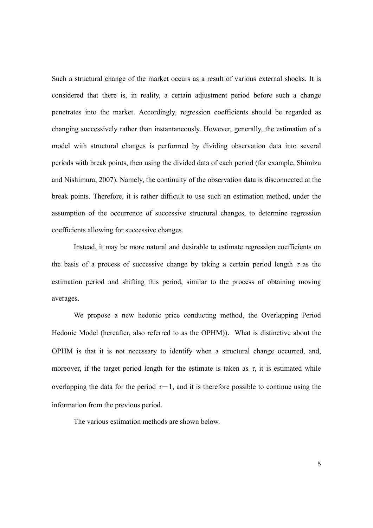Such a structural change of the market occurs as a result of various external shocks. It is considered that there is, in reality, a certain adjustment period before such a change penetrates into the market. Accordingly, regression coefficients should be regarded as changing successively rather than instantaneously. However, generally, the estimation of a model with structural changes is performed by dividing observation data into several periods with break points, then using the divided data of each period (for example, Shimizu and Nishimura, 2007). Namely, the continuity of the observation data is disconnected at the break points. Therefore, it is rather difficult to use such an estimation method, under the assumption of the occurrence of successive structural changes, to determine regression coefficients allowing for successive changes.

Instead, it may be more natural and desirable to estimate regression coefficients on the basis of a process of successive change by taking a certain period length  $\tau$  as the estimation period and shifting this period, similar to the process of obtaining moving averages.

We propose a new hedonic price conducting method, the Overlapping Period Hedonic Model (hereafter, also referred to as the OPHM)). What is distinctive about the OPHM is that it is not necessary to identify when a structural change occurred, and, moreover, if the target period length for the estimate is taken as  $\tau$ , it is estimated while overlapping the data for the period  $\tau$ -1, and it is therefore possible to continue using the information from the previous period.

The various estimation methods are shown below.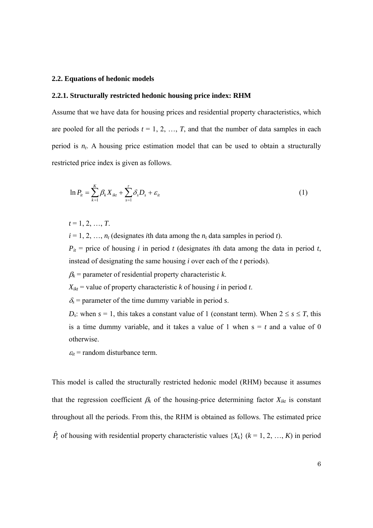#### **2.2. Equations of hedonic models**

#### **2.2.1. Structurally restricted hedonic housing price index: RHM**

Assume that we have data for housing prices and residential property characteristics, which are pooled for all the periods  $t = 1, 2, ..., T$ , and that the number of data samples in each period is  $n_t$ . A housing price estimation model that can be used to obtain a structurally restricted price index is given as follows.

$$
\ln P_{ii} = \sum_{k=1}^{K} \beta_k X_{ikt} + \sum_{s=1}^{t} \delta_s D_s + \varepsilon_{it}
$$
\n(1)

 $t = 1, 2, ..., T$ .

 $i = 1, 2, \ldots, n_t$  (designates *i*th data among the  $n_t$  data samples in period *t*).

 $P_{it}$  = price of housing *i* in period *t* (designates *i*th data among the data in period *t*, instead of designating the same housing *i* over each of the *t* periods).

 $\beta_k$  = parameter of residential property characteristic *k*.

 $X_{ikt}$  = value of property characteristic *k* of housing *i* in period *t*.

 $\delta$ <sub>s</sub> = parameter of the time dummy variable in period *s*.

*D<sub>s</sub>*: when  $s = 1$ , this takes a constant value of 1 (constant term). When  $2 \le s \le T$ , this is a time dummy variable, and it takes a value of 1 when  $s = t$  and a value of 0 otherwise.

 $\varepsilon_{it}$  = random disturbance term.

This model is called the structurally restricted hedonic model (RHM) because it assumes that the regression coefficient  $\beta_k$  of the housing-price determining factor  $X_{ikt}$  is constant throughout all the periods. From this, the RHM is obtained as follows. The estimated price  $\hat{P}_t$  of housing with residential property characteristic values  $\{X_k\}$  ( $k = 1, 2, ..., K$ ) in period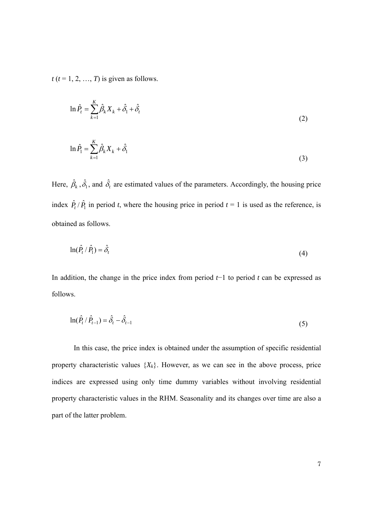$t$  ( $t = 1, 2, ..., T$ ) is given as follows.

$$
\ln \hat{P}_t = \sum_{k=1}^K \hat{\beta}_k X_k + \hat{\delta}_1 + \hat{\delta}_t
$$
\n(2)

$$
\ln \hat{P}_1 = \sum_{k=1}^{K} \hat{\beta}_k X_k + \hat{\delta}_1 \tag{3}
$$

Here,  $\hat{\beta}_k$ ,  $\hat{\delta}_1$ , and  $\hat{\delta}_t$  are estimated values of the parameters. Accordingly, the housing price index  $\hat{P}_t / \hat{P}_1$  in period *t*, where the housing price in period  $t = 1$  is used as the reference, is obtained as follows.

$$
\ln(\hat{P}_t/\hat{P}_1) = \hat{\delta}_t \tag{4}
$$

In addition, the change in the price index from period *t*−1 to period *t* can be expressed as follows.

$$
\ln(\hat{P}_t / \hat{P}_{t-1}) = \hat{\delta}_t - \hat{\delta}_{t-1}
$$
\n(5)

In this case, the price index is obtained under the assumption of specific residential property characteristic values  $\{X_k\}$ . However, as we can see in the above process, price indices are expressed using only time dummy variables without involving residential property characteristic values in the RHM. Seasonality and its changes over time are also a part of the latter problem.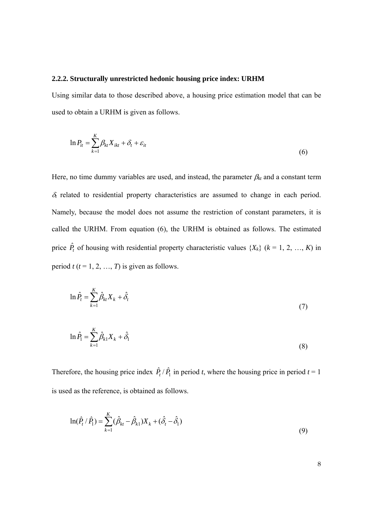#### **2.2.2. Structurally unrestricted hedonic housing price index: URHM**

Using similar data to those described above, a housing price estimation model that can be used to obtain a URHM is given as follows.

$$
\ln P_{it} = \sum_{k=1}^{K} \beta_{kt} X_{ikt} + \delta_t + \varepsilon_{it}
$$
\n(6)

Here, no time dummy variables are used, and instead, the parameter  $\beta_{kt}$  and a constant term <sup>δ</sup>*t* related to residential property characteristics are assumed to change in each period. Namely, because the model does not assume the restriction of constant parameters, it is called the URHM. From equation (6), the URHM is obtained as follows. The estimated price  $\hat{P}_t$  of housing with residential property characteristic values  $\{X_k\}$  ( $k = 1, 2, ..., K$ ) in period  $t$  ( $t = 1, 2, ..., T$ ) is given as follows.

$$
\ln \hat{P}_t = \sum_{k=1}^K \hat{\beta}_{kt} X_k + \hat{\delta}_t \tag{7}
$$

$$
\ln \hat{P}_1 = \sum_{k=1}^{K} \hat{\beta}_{k1} X_k + \hat{\delta}_1
$$
\n(8)

Therefore, the housing price index  $\hat{P}_t / \hat{P}_1$  in period *t*, where the housing price in period *t* = 1 is used as the reference, is obtained as follows.

$$
\ln(\hat{P}_t / \hat{P}_1) = \sum_{k=1}^{K} (\hat{\beta}_{kt} - \hat{\beta}_{k1}) X_k + (\hat{\delta}_t - \hat{\delta}_1)
$$
\n(9)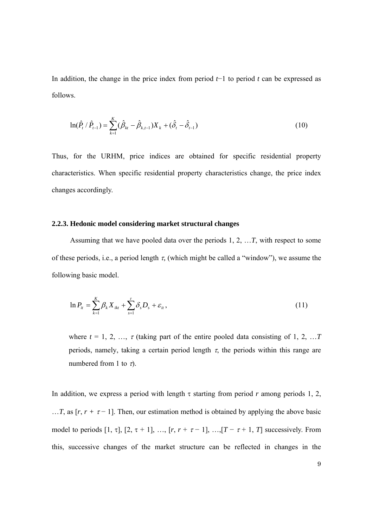In addition, the change in the price index from period *t*−1 to period *t* can be expressed as follows.

$$
\ln(\hat{P}_t/\hat{P}_{t-1}) = \sum_{k=1}^K (\hat{\beta}_{kt} - \hat{\beta}_{k,t-1}) X_k + (\hat{\delta}_t - \hat{\delta}_{t-1})
$$
\n(10)

Thus, for the URHM, price indices are obtained for specific residential property characteristics. When specific residential property characteristics change, the price index changes accordingly.

#### **2.2.3. Hedonic model considering market structural changes**

Assuming that we have pooled data over the periods 1, 2, …*T*, with respect to some of these periods, i.e., a period length τ*,* (which might be called a "window"), we assume the following basic model.

$$
\ln P_{it} = \sum_{k=1}^{K} \beta_k X_{ikt} + \sum_{s=1}^{t} \delta_s D_s + \varepsilon_{it},
$$
\n(11)

where  $t = 1, 2, ..., \tau$  (taking part of the entire pooled data consisting of 1, 2, ... T periods, namely, taking a certain period length  $\tau$ , the periods within this range are numbered from 1 to  $\tau$ ).

In addition, we express a period with length  $\tau$  starting from period *r* among periods 1, 2, ...*T*, as  $[r, r + \tau - 1]$ . Then, our estimation method is obtained by applying the above basic model to periods [1, τ], [2, τ + 1], ..., [ $r$ ,  $r + \tau - 1$ ], ..., [ $T - \tau + 1$ ,  $T$ ] successively. From this, successive changes of the market structure can be reflected in changes in the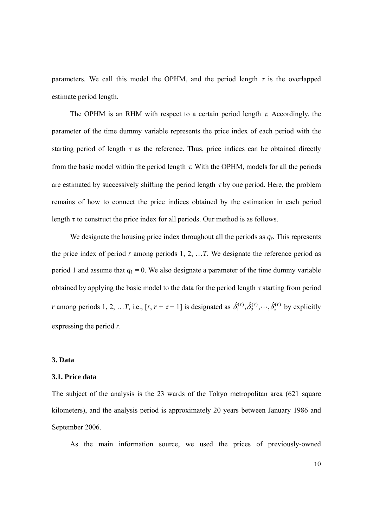parameters. We call this model the OPHM, and the period length  $\tau$  is the overlapped estimate period length.

The OPHM is an RHM with respect to a certain period length  $\tau$ . Accordingly, the parameter of the time dummy variable represents the price index of each period with the starting period of length  $\tau$  as the reference. Thus, price indices can be obtained directly from the basic model within the period length  $\tau$ . With the OPHM, models for all the periods are estimated by successively shifting the period length  $\tau$  by one period. Here, the problem remains of how to connect the price indices obtained by the estimation in each period length  $\tau$  to construct the price index for all periods. Our method is as follows.

We designate the housing price index throughout all the periods as  $q_r$ . This represents the price index of period  $r$  among periods 1, 2, ...  $T$ . We designate the reference period as period 1 and assume that  $q_1 = 0$ . We also designate a parameter of the time dummy variable obtained by applying the basic model to the data for the period length  $\tau$  starting from period *r* among periods 1, 2, ...*T*, i.e.,  $[r, r + \tau - 1]$  is designated as  $\hat{\delta}_1^{(r)}, \hat{\delta}_2^{(r)}, \dots, \hat{\delta}_\tau^{(r)}$  $\hat{\delta}_1^{(r)}, \hat{\delta}_2^{(r)}, \cdots, \hat{\delta}_\tau^{(r)}$  by explicitly expressing the period *r*.

#### **3. Data**

#### **3.1. Price data**

The subject of the analysis is the 23 wards of the Tokyo metropolitan area (621 square kilometers), and the analysis period is approximately 20 years between January 1986 and September 2006.

As the main information source, we used the prices of previously-owned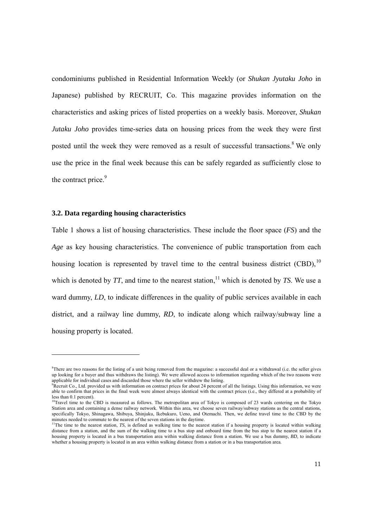condominiums published in Residential Information Weekly (or *Shukan Jyutaku Joho* in Japanese) published by RECRUIT, Co. This magazine provides information on the characteristics and asking prices of listed properties on a weekly basis. Moreover, *Shukan Jutaku Joho* provides time-series data on housing prices from the week they were first posted until the week they were removed as a result of successful transactions.<sup>8</sup> We only use the price in the final week because this can be safely regarded as sufficiently close to the contract price.<sup>9</sup>

#### **3.2. Data regarding housing characteristics**

-

Table 1 shows a list of housing characteristics. These include the floor space (*FS*) and the *Age* as key housing characteristics. The convenience of public transportation from each housing location is represented by travel time to the central business district  $(CBD)$ ,<sup>10</sup> which is denoted by  $TT$ , and time to the nearest station,<sup>11</sup> which is denoted by  $TS$ . We use a ward dummy, *LD*, to indicate differences in the quality of public services available in each district, and a railway line dummy, *RD*, to indicate along which railway/subway line a housing property is located.

<sup>&</sup>lt;sup>8</sup>There are two reasons for the listing of a unit being removed from the magazine: a successful deal or a withdrawal (i.e. the seller gives up looking for a buyer and thus withdraws the listing). We were allowed access to information regarding which of the two reasons were applicable for individual cases and discarded those where the seller withdrew the listing.

<sup>9</sup> Recruit Co., Ltd. provided us with information on contract prices for about 24 percent of all the listings. Using this information, we were able to confirm that prices in the final week were almost always identical with the contract prices (i.e., they differed at a probability of less than 0.1 percent).

 $10$ Travel time to the CBD is measured as follows. The metropolitan area of Tokyo is composed of 23 wards centering on the Tokyo Station area and containing a dense railway network. Within this area, we choose seven railway/subway stations as the central stations, specifically Tokyo, Shinagawa, Shibuya, Shinjuku, Ikebukuro, Ueno, and Otemachi. Then, we define travel time to the CBD by the minutes needed to commute to the nearest of the seven stations in the daytime.<br><sup>11</sup>The time to the nearest station, *TS*, is defined as walking time to the nearest station if a housing property is located within walking

distance from a station, and the sum of the walking time to a bus stop and onboard time from the bus stop to the nearest station if a housing property is located in a bus transportation area within walking distance from a station. We use a bus dummy, *BD*, to indicate whether a housing property is located in an area within walking distance from a station or in a bus transportation area.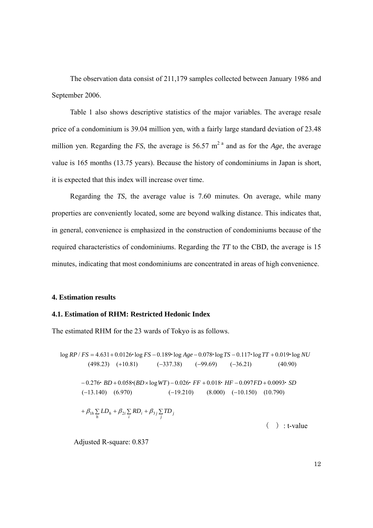The observation data consist of 211,179 samples collected between January 1986 and September 2006.

Table 1 also shows descriptive statistics of the major variables. The average resale price of a condominium is 39.04 million yen, with a fairly large standard deviation of 23.48 million yen. Regarding the *FS*, the average is 56.57 m<sup>2</sup> a and as for the *Age*, the average value is 165 months (13.75 years). Because the history of condominiums in Japan is short, it is expected that this index will increase over time.

Regarding the *TS*, the average value is 7.60 minutes. On average, while many properties are conveniently located, some are beyond walking distance. This indicates that, in general, convenience is emphasized in the construction of condominiums because of the required characteristics of condominiums. Regarding the *TT* to the CBD, the average is 15 minutes, indicating that most condominiums are concentrated in areas of high convenience.

#### **4. Estimation results**

## **4.1. Estimation of RHM: Restricted Hedonic Index**

The estimated RHM for the 23 wards of Tokyo is as follows.

 $+\beta_{1h}\sum_{h}LD_{h} + \beta_{2i}\sum_{i}RD_{i} + \beta_{3j}\sum_{j}TD_{j}$  $(-13.140)$   $(6.970)$   $(-19.210)$  $-0.276$  **BD** + 0.058 (BD × log WT) − 0.026 **FF** + 0.018 HF − 0.097FD + 0.0093 SD  $(-337.38)$   $(-99.69)$   $(-36.21)$  $\log RP / FS = 4.631 + 0.0126$  log  $FS - 0.189$  log  $Age - 0.078$  log  $TS - 0.117$  log  $TT + 0.019$  log NU  $(-13.140)$   $(6.970)$   $(-19.210)$   $(8.000)$   $(-10.150)$   $(10.790)$  $(498.23)$   $(+10.81)$   $(-337.38)$   $(-99.69)$   $(-36.21)$   $(40.90)$  $( )$  : t-value

Adjusted R-square: 0.837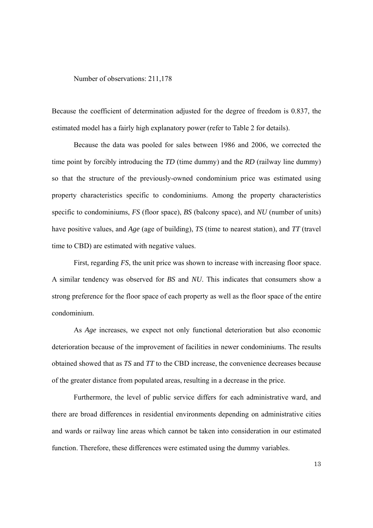Number of observations: 211,178

Because the coefficient of determination adjusted for the degree of freedom is 0.837, the estimated model has a fairly high explanatory power (refer to Table 2 for details).

Because the data was pooled for sales between 1986 and 2006, we corrected the time point by forcibly introducing the *TD* (time dummy) and the *RD* (railway line dummy) so that the structure of the previously-owned condominium price was estimated using property characteristics specific to condominiums. Among the property characteristics specific to condominiums, *FS* (floor space), *BS* (balcony space), and *NU* (number of units) have positive values, and *Age* (age of building), *TS* (time to nearest station), and *TT* (travel time to CBD) are estimated with negative values.

First, regarding *FS*, the unit price was shown to increase with increasing floor space. A similar tendency was observed for *BS* and *NU*. This indicates that consumers show a strong preference for the floor space of each property as well as the floor space of the entire condominium.

As *Age* increases, we expect not only functional deterioration but also economic deterioration because of the improvement of facilities in newer condominiums. The results obtained showed that as *TS* and *TT* to the CBD increase, the convenience decreases because of the greater distance from populated areas, resulting in a decrease in the price.

 Furthermore, the level of public service differs for each administrative ward, and there are broad differences in residential environments depending on administrative cities and wards or railway line areas which cannot be taken into consideration in our estimated function. Therefore, these differences were estimated using the dummy variables.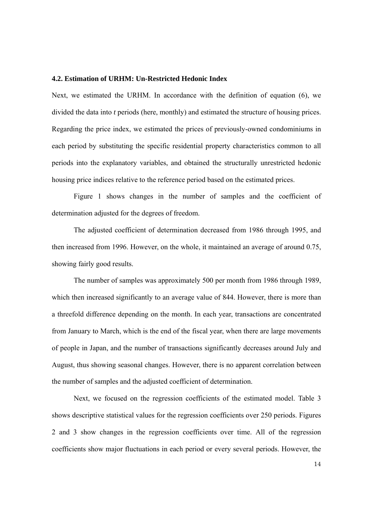#### **4.2. Estimation of URHM: Un-Restricted Hedonic Index**

Next, we estimated the URHM. In accordance with the definition of equation (6), we divided the data into *t* periods (here, monthly) and estimated the structure of housing prices. Regarding the price index, we estimated the prices of previously-owned condominiums in each period by substituting the specific residential property characteristics common to all periods into the explanatory variables, and obtained the structurally unrestricted hedonic housing price indices relative to the reference period based on the estimated prices.

Figure 1 shows changes in the number of samples and the coefficient of determination adjusted for the degrees of freedom.

The adjusted coefficient of determination decreased from 1986 through 1995, and then increased from 1996. However, on the whole, it maintained an average of around 0.75, showing fairly good results.

The number of samples was approximately 500 per month from 1986 through 1989, which then increased significantly to an average value of 844. However, there is more than a threefold difference depending on the month. In each year, transactions are concentrated from January to March, which is the end of the fiscal year, when there are large movements of people in Japan, and the number of transactions significantly decreases around July and August, thus showing seasonal changes. However, there is no apparent correlation between the number of samples and the adjusted coefficient of determination.

Next, we focused on the regression coefficients of the estimated model. Table 3 shows descriptive statistical values for the regression coefficients over 250 periods. Figures 2 and 3 show changes in the regression coefficients over time. All of the regression coefficients show major fluctuations in each period or every several periods. However, the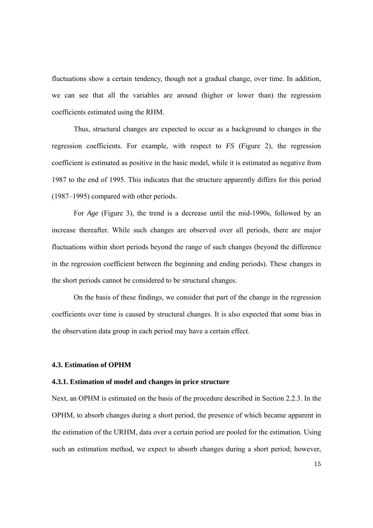fluctuations show a certain tendency, though not a gradual change, over time. In addition, we can see that all the variables are around (higher or lower than) the regression coefficients estimated using the RHM.

Thus, structural changes are expected to occur as a background to changes in the regression coefficients. For example, with respect to *FS* (Figure 2), the regression coefficient is estimated as positive in the basic model, while it is estimated as negative from 1987 to the end of 1995. This indicates that the structure apparently differs for this period (1987–1995) compared with other periods.

For *Age* (Figure 3), the trend is a decrease until the mid-1990s, followed by an increase thereafter. While such changes are observed over all periods, there are major fluctuations within short periods beyond the range of such changes (beyond the difference in the regression coefficient between the beginning and ending periods). These changes in the short periods cannot be considered to be structural changes.

On the basis of these findings, we consider that part of the change in the regression coefficients over time is caused by structural changes. It is also expected that some bias in the observation data group in each period may have a certain effect.

#### **4.3. Estimation of OPHM**

#### **4.3.1. Estimation of model and changes in price structure**

Next, an OPHM is estimated on the basis of the procedure described in Section 2.2.3. In the OPHM, to absorb changes during a short period, the presence of which became apparent in the estimation of the URHM, data over a certain period are pooled for the estimation. Using such an estimation method, we expect to absorb changes during a short period; however,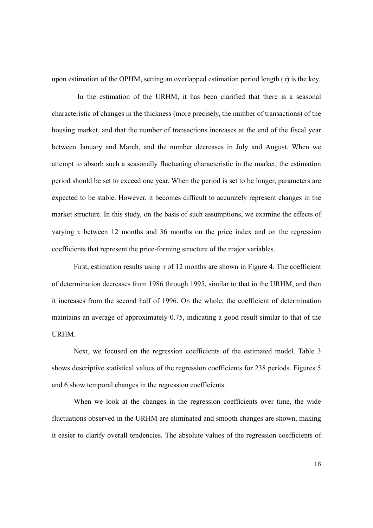upon estimation of the OPHM, setting an overlapped estimation period length  $(τ)$  is the key.

In the estimation of the URHM, it has been clarified that there is a seasonal characteristic of changes in the thickness (more precisely, the number of transactions) of the housing market, and that the number of transactions increases at the end of the fiscal year between January and March, and the number decreases in July and August. When we attempt to absorb such a seasonally fluctuating characteristic in the market, the estimation period should be set to exceed one year. When the period is set to be longer, parameters are expected to be stable. However, it becomes difficult to accurately represent changes in the market structure. In this study, on the basis of such assumptions, we examine the effects of varying τ between 12 months and 36 months on the price index and on the regression coefficients that represent the price-forming structure of the major variables.

First, estimation results using  $\tau$  of 12 months are shown in Figure 4. The coefficient of determination decreases from 1986 through 1995, similar to that in the URHM, and then it increases from the second half of 1996. On the whole, the coefficient of determination maintains an average of approximately 0.75, indicating a good result similar to that of the **URHM** 

Next, we focused on the regression coefficients of the estimated model. Table 3 shows descriptive statistical values of the regression coefficients for 238 periods. Figures 5 and 6 show temporal changes in the regression coefficients.

When we look at the changes in the regression coefficients over time, the wide fluctuations observed in the URHM are eliminated and smooth changes are shown, making it easier to clarify overall tendencies. The absolute values of the regression coefficients of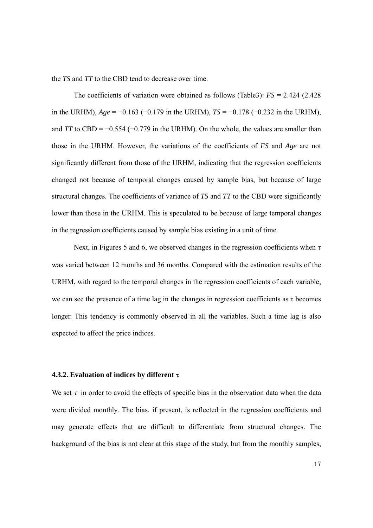the *TS* and *TT* to the CBD tend to decrease over time.

The coefficients of variation were obtained as follows (Table3): *FS* = 2.424 (2.428 in the URHM), *Age* = −0.163 (−0.179 in the URHM), *TS* = −0.178 (−0.232 in the URHM), and *TT* to CBD =  $-0.554$  ( $-0.779$  in the URHM). On the whole, the values are smaller than those in the URHM. However, the variations of the coefficients of *FS* and *Age* are not significantly different from those of the URHM, indicating that the regression coefficients changed not because of temporal changes caused by sample bias, but because of large structural changes. The coefficients of variance of *TS* and *TT* to the CBD were significantly lower than those in the URHM. This is speculated to be because of large temporal changes in the regression coefficients caused by sample bias existing in a unit of time.

Next, in Figures 5 and 6, we observed changes in the regression coefficients when  $\tau$ was varied between 12 months and 36 months. Compared with the estimation results of the URHM, with regard to the temporal changes in the regression coefficients of each variable, we can see the presence of a time lag in the changes in regression coefficients as  $\tau$  becomes longer. This tendency is commonly observed in all the variables. Such a time lag is also expected to affect the price indices.

#### **4.3.2. Evaluation of indices by different** τ

We set  $\tau$  in order to avoid the effects of specific bias in the observation data when the data were divided monthly. The bias, if present, is reflected in the regression coefficients and may generate effects that are difficult to differentiate from structural changes. The background of the bias is not clear at this stage of the study, but from the monthly samples,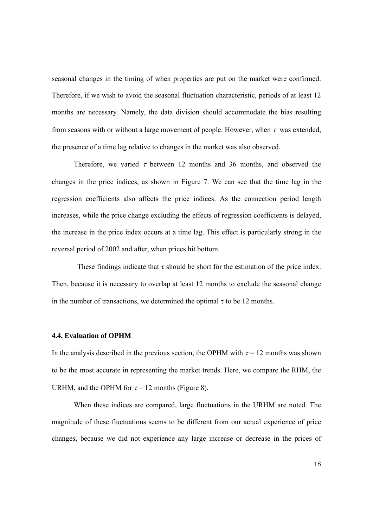seasonal changes in the timing of when properties are put on the market were confirmed. Therefore, if we wish to avoid the seasonal fluctuation characteristic, periods of at least 12 months are necessary. Namely, the data division should accommodate the bias resulting from seasons with or without a large movement of people. However, when  $\tau$  was extended, the presence of a time lag relative to changes in the market was also observed.

Therefore, we varied  $\tau$  between 12 months and 36 months, and observed the changes in the price indices, as shown in Figure 7. We can see that the time lag in the regression coefficients also affects the price indices. As the connection period length increases, while the price change excluding the effects of regression coefficients is delayed, the increase in the price index occurs at a time lag. This effect is particularly strong in the reversal period of 2002 and after, when prices hit bottom.

These findings indicate that  $\tau$  should be short for the estimation of the price index. Then, because it is necessary to overlap at least 12 months to exclude the seasonal change in the number of transactions, we determined the optimal  $\tau$  to be 12 months.

## **4.4. Evaluation of OPHM**

In the analysis described in the previous section, the OPHM with  $\tau = 12$  months was shown to be the most accurate in representing the market trends. Here, we compare the RHM, the URHM, and the OPHM for  $\tau = 12$  months (Figure 8).

When these indices are compared, large fluctuations in the URHM are noted. The magnitude of these fluctuations seems to be different from our actual experience of price changes, because we did not experience any large increase or decrease in the prices of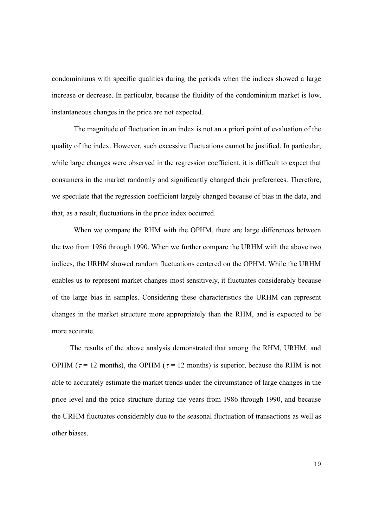condominiums with specific qualities during the periods when the indices showed a large increase or decrease. In particular, because the fluidity of the condominium market is low, instantaneous changes in the price are not expected.

The magnitude of fluctuation in an index is not an a priori point of evaluation of the quality of the index. However, such excessive fluctuations cannot be justified. In particular, while large changes were observed in the regression coefficient, it is difficult to expect that consumers in the market randomly and significantly changed their preferences. Therefore, we speculate that the regression coefficient largely changed because of bias in the data, and that, as a result, fluctuations in the price index occurred.

When we compare the RHM with the OPHM, there are large differences between the two from 1986 through 1990. When we further compare the URHM with the above two indices, the URHM showed random fluctuations centered on the OPHM. While the URHM enables us to represent market changes most sensitively, it fluctuates considerably because of the large bias in samples. Considering these characteristics the URHM can represent changes in the market structure more appropriately than the RHM, and is expected to be more accurate.

The results of the above analysis demonstrated that among the RHM, URHM, and OPHM ( $\tau$  = 12 months), the OPHM ( $\tau$  = 12 months) is superior, because the RHM is not able to accurately estimate the market trends under the circumstance of large changes in the price level and the price structure during the years from 1986 through 1990, and because the URHM fluctuates considerably due to the seasonal fluctuation of transactions as well as other biases.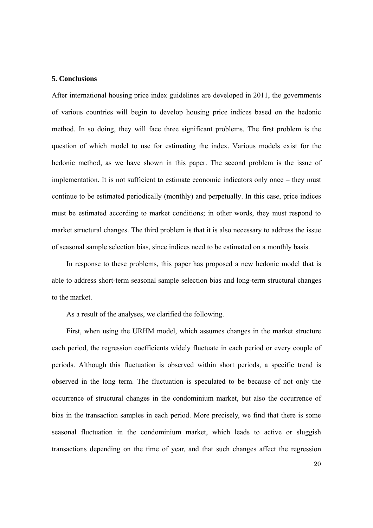#### **5. Conclusions**

After international housing price index guidelines are developed in 2011, the governments of various countries will begin to develop housing price indices based on the hedonic method. In so doing, they will face three significant problems. The first problem is the question of which model to use for estimating the index. Various models exist for the hedonic method, as we have shown in this paper. The second problem is the issue of implementation. It is not sufficient to estimate economic indicators only once – they must continue to be estimated periodically (monthly) and perpetually. In this case, price indices must be estimated according to market conditions; in other words, they must respond to market structural changes. The third problem is that it is also necessary to address the issue of seasonal sample selection bias, since indices need to be estimated on a monthly basis.

In response to these problems, this paper has proposed a new hedonic model that is able to address short-term seasonal sample selection bias and long-term structural changes to the market.

As a result of the analyses, we clarified the following.

First, when using the URHM model, which assumes changes in the market structure each period, the regression coefficients widely fluctuate in each period or every couple of periods. Although this fluctuation is observed within short periods, a specific trend is observed in the long term. The fluctuation is speculated to be because of not only the occurrence of structural changes in the condominium market, but also the occurrence of bias in the transaction samples in each period. More precisely, we find that there is some seasonal fluctuation in the condominium market, which leads to active or sluggish transactions depending on the time of year, and that such changes affect the regression

20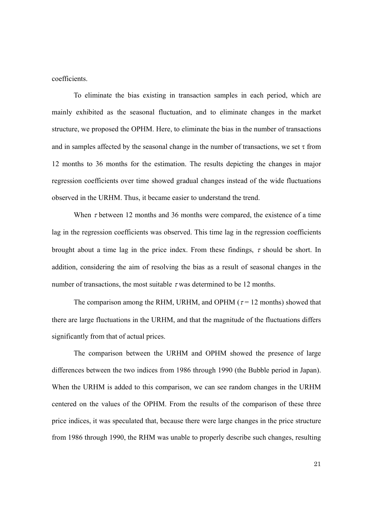coefficients.

To eliminate the bias existing in transaction samples in each period, which are mainly exhibited as the seasonal fluctuation, and to eliminate changes in the market structure, we proposed the OPHM. Here, to eliminate the bias in the number of transactions and in samples affected by the seasonal change in the number of transactions, we set  $\tau$  from 12 months to 36 months for the estimation. The results depicting the changes in major regression coefficients over time showed gradual changes instead of the wide fluctuations observed in the URHM. Thus, it became easier to understand the trend.

When  $\tau$  between 12 months and 36 months were compared, the existence of a time lag in the regression coefficients was observed. This time lag in the regression coefficients brought about a time lag in the price index. From these findings,  $\tau$  should be short. In addition, considering the aim of resolving the bias as a result of seasonal changes in the number of transactions, the most suitable  $\tau$  was determined to be 12 months.

The comparison among the RHM, URHM, and OPHM ( $\tau$  = 12 months) showed that there are large fluctuations in the URHM, and that the magnitude of the fluctuations differs significantly from that of actual prices.

The comparison between the URHM and OPHM showed the presence of large differences between the two indices from 1986 through 1990 (the Bubble period in Japan). When the URHM is added to this comparison, we can see random changes in the URHM centered on the values of the OPHM. From the results of the comparison of these three price indices, it was speculated that, because there were large changes in the price structure from 1986 through 1990, the RHM was unable to properly describe such changes, resulting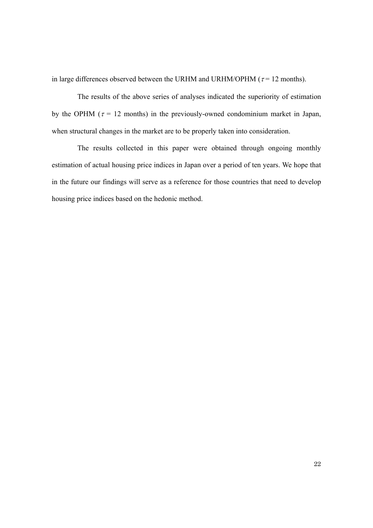in large differences observed between the URHM and URHM/OPHM ( $\tau$  = 12 months).

The results of the above series of analyses indicated the superiority of estimation by the OPHM ( $\tau$  = 12 months) in the previously-owned condominium market in Japan, when structural changes in the market are to be properly taken into consideration.

The results collected in this paper were obtained through ongoing monthly estimation of actual housing price indices in Japan over a period of ten years. We hope that in the future our findings will serve as a reference for those countries that need to develop housing price indices based on the hedonic method.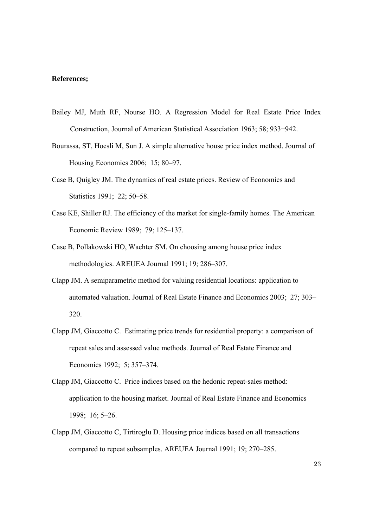#### **References;**

- Bailey MJ, Muth RF, Nourse HO. A Regression Model for Real Estate Price Index Construction, Journal of American Statistical Association 1963; 58; 933−942.
- Bourassa, ST, Hoesli M, Sun J. A simple alternative house price index method. Journal of Housing Economics 2006; 15; 80–97.
- Case B, Quigley JM. The dynamics of real estate prices. Review of Economics and Statistics 1991; 22; 50–58.
- Case KE, Shiller RJ. The efficiency of the market for single-family homes. The American Economic Review 1989; 79; 125–137.
- Case B, Pollakowski HO, Wachter SM. On choosing among house price index methodologies. AREUEA Journal 1991; 19; 286–307.
- Clapp JM. A semiparametric method for valuing residential locations: application to automated valuation. Journal of Real Estate Finance and Economics 2003; 27; 303– 320.
- Clapp JM, Giaccotto C. Estimating price trends for residential property: a comparison of repeat sales and assessed value methods. Journal of Real Estate Finance and Economics 1992; 5; 357–374.
- Clapp JM, Giaccotto C. Price indices based on the hedonic repeat-sales method: application to the housing market. Journal of Real Estate Finance and Economics 1998; 16; 5–26.
- Clapp JM, Giaccotto C, Tirtiroglu D. Housing price indices based on all transactions compared to repeat subsamples. AREUEA Journal 1991; 19; 270–285.

23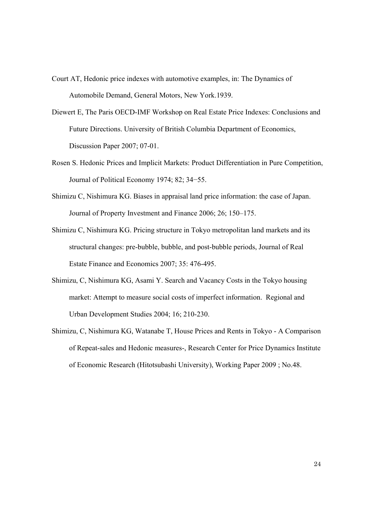- Court AT, Hedonic price indexes with automotive examples, in: The Dynamics of Automobile Demand, General Motors, New York.1939.
- Diewert E, The Paris OECD-IMF Workshop on Real Estate Price Indexes: Conclusions and Future Directions. University of British Columbia Department of Economics, Discussion Paper 2007; 07-01.
- Rosen S. Hedonic Prices and Implicit Markets: Product Differentiation in Pure Competition, Journal of Political Economy 1974; 82; 34−55.
- Shimizu C, Nishimura KG. Biases in appraisal land price information: the case of Japan. Journal of Property Investment and Finance 2006; 26; 150–175.
- Shimizu C, Nishimura KG. Pricing structure in Tokyo metropolitan land markets and its structural changes: pre-bubble, bubble, and post-bubble periods, Journal of Real Estate Finance and Economics 2007; 35: 476-495.
- Shimizu, C, Nishimura KG, Asami Y. Search and Vacancy Costs in the Tokyo housing market: Attempt to measure social costs of imperfect information. Regional and Urban Development Studies 2004; 16; 210-230.
- Shimizu, C, Nishimura KG, Watanabe T, House Prices and Rents in Tokyo A Comparison of Repeat-sales and Hedonic measures-, Research Center for Price Dynamics Institute of Economic Research (Hitotsubashi University), Working Paper 2009 ; No.48.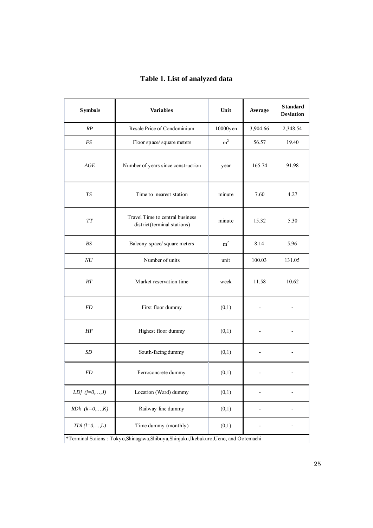| <b>Symbols</b>                                                                         | <b>Variables</b>                                               | Average        | <b>Standard</b><br>Deviation |        |  |  |  |
|----------------------------------------------------------------------------------------|----------------------------------------------------------------|----------------|------------------------------|--------|--|--|--|
| RP                                                                                     | Resale Price of Condominium                                    | 10000yen       |                              |        |  |  |  |
| FS                                                                                     | Floor space/ square meters                                     | m <sup>2</sup> | 56.57                        | 19.40  |  |  |  |
| AGE                                                                                    | Number of years since construction                             | year           | 165.74                       | 91.98  |  |  |  |
| <b>TS</b>                                                                              | Time to nearest station                                        | 7.60           | 4.27                         |        |  |  |  |
| $\cal T\cal T$                                                                         | Travel Time to central business<br>district(terminal stations) | 15.32          | 5.30                         |        |  |  |  |
| <b>BS</b>                                                                              | Balcony space/square meters                                    | m <sup>2</sup> | 8.14                         | 5.96   |  |  |  |
| NU                                                                                     | Number of units                                                | unit           | 100.03                       | 131.05 |  |  |  |
| RT                                                                                     | Market reservation time                                        |                | 11.58                        | 10.62  |  |  |  |
| <b>FD</b>                                                                              | First floor dummy                                              | (0,1)          |                              |        |  |  |  |
| НF                                                                                     | Highest floor dummy<br>(0,1)                                   |                |                              |        |  |  |  |
| SD                                                                                     | South-facing dummy<br>(0,1)                                    |                | $\overline{a}$               |        |  |  |  |
| <b>FD</b>                                                                              | Ferroconcrete dummy                                            |                |                              |        |  |  |  |
| LDj $(j=0,\ldots,J)$                                                                   | Location (Ward) dummy                                          | (0,1)          |                              |        |  |  |  |
| $RDk (k=0,,K)$                                                                         | Railway line dummy                                             | (0,1)          |                              |        |  |  |  |
| $TDI(l=0,,L)$                                                                          |                                                                |                |                              |        |  |  |  |
| *Terminal Staions: Tokyo, Shinagawa, Shibuya, Shinjuku, Ikebukuro, Ueno, and Ootemachi |                                                                |                |                              |        |  |  |  |

# **Table 1. List of analyzed data**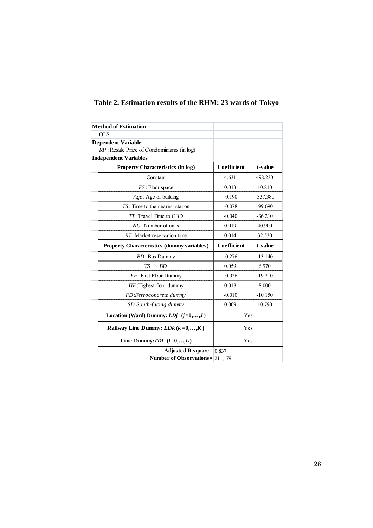| <b>Method of Estimation</b>                  |                    |            |
|----------------------------------------------|--------------------|------------|
| <b>OLS</b>                                   |                    |            |
| <b>Dependent Variable</b>                    |                    |            |
| $RP$ : Resale Price of Condominiums (in log) |                    |            |
| <b>Independent Variables</b>                 |                    |            |
| <b>Property Characteristics (in log)</b>     | <b>Coefficient</b> | t-value    |
| Constant                                     | 4.631              | 498.230    |
| FS: Floor space                              | 0.013              | 10.810     |
| $Age: Age$ of building                       | $-0.190$           | $-337.380$ |
| $TS$ : Time to the nearest station           | $-0.078$           | $-99.690$  |
| TT: Travel Time to CBD                       | $-0.040$           | $-36.210$  |
| $NU$ : Number of units                       | 0.019              | 40.900     |
| $RT$ : Market reservation time               | 0.014              | 32.530     |
|                                              |                    |            |
| Property Characteristics (dummy variables)   | Coefficient        | t-value    |
| $BD: Bus$ Dummy                              | $-0.276$           | $-13.140$  |
| $TS \times BD$                               | 0.059              | 6.970      |
| FF: First Floor Dummy                        | $-0.026$           | $-19.210$  |
| HF:Highest floor dummy                       | 0.018              | 8.000      |
| FD Ferroconcrete dummy                       | $-0.010$           | $-10.150$  |
| SD:South-facing dummy                        | 0.009              | 10.790     |
| Location (Ward) Dummy: $LDj$ $(j=0,,J)$      | Yes                |            |
| Railway Line Dummy: $LDk (k=0,,K)$           | Yes                |            |
| Time Dummy: $TDI$ $(l=0,,L)$                 | Yes                |            |
| Adjusted R square= $ 0.837$                  |                    |            |

# **Table 2. Estimation results of the RHM: 23 wards of Tokyo**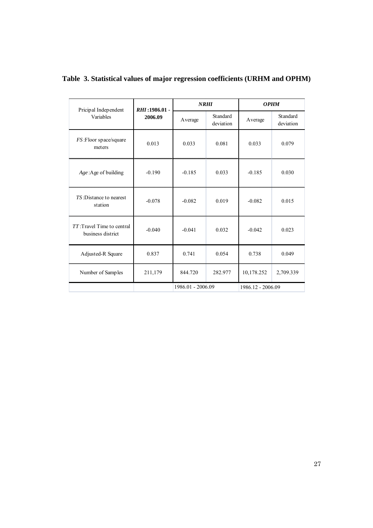| Pricipal Independent                            | RHI: 1986.01 -<br>2006.09 | <b>NRHI</b>       |                       | <b>OPHM</b>       |                       |
|-------------------------------------------------|---------------------------|-------------------|-----------------------|-------------------|-----------------------|
| Variables                                       |                           | Average           | Standard<br>deviation | Average           | Standard<br>deviation |
| FS: Floor space/square<br>meters                | 0.013                     | 0.033             | 0.081                 | 0.033             | 0.079                 |
| Age: Age of building                            | $-0.190$                  | $-0.185$          | 0.033                 | $-0.185$          | 0.030                 |
| TS: Distance to nearest<br>station              | $-0.078$                  | $-0.082$          | 0.019                 | $-0.082$          | 0.015                 |
| TT: Travel Time to central<br>business district | $-0.040$                  | $-0.041$          | 0.032                 | $-0.042$          | 0.023                 |
| Adjusted-R Square                               | 0.837                     | 0.741             | 0.054                 | 0.738             | 0.049                 |
| Number of Samples                               | 211,179                   | 844.720           | 282.977               | 10,178.252        | 2,709.339             |
|                                                 |                           | 1986.01 - 2006.09 |                       | 1986.12 - 2006.09 |                       |

**Table 3. Statistical values of major regression coefficients (URHM and OPHM)**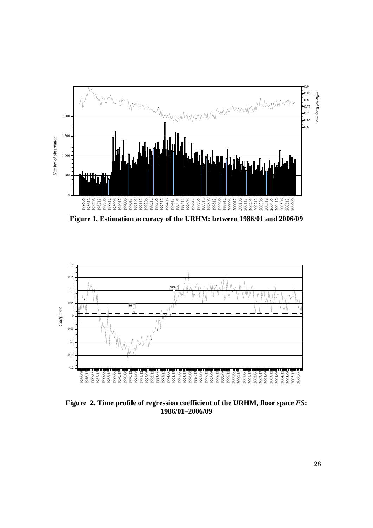

**Figure 1. Estimation accuracy of the URHM: between 1986/01 and 2006/09** 



**Figure 2. Time profile of regression coefficient of the URHM, floor space** *FS***: 1986/01–2006/09**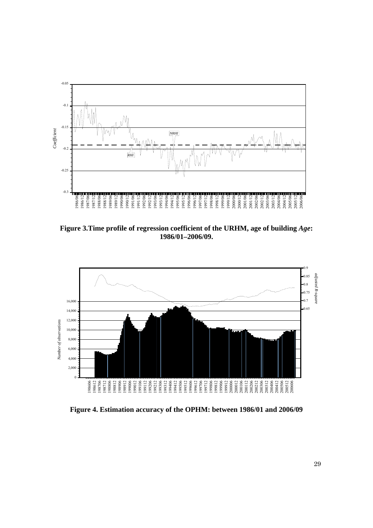

**Figure 3.Time profile of regression coefficient of the URHM, age of building** *Age***: 1986/01–2006/09.** 



**Figure 4. Estimation accuracy of the OPHM: between 1986/01 and 2006/09**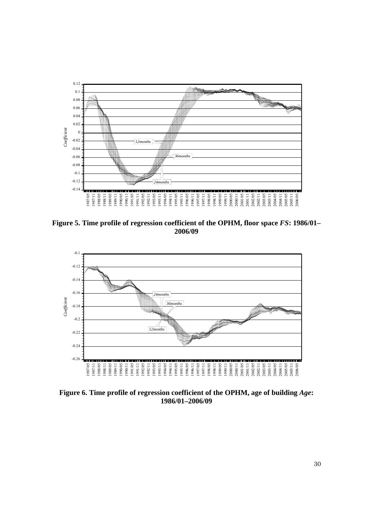

**Figure 5. Time profile of regression coefficient of the OPHM, floor space** *FS***: 1986/01– 2006/09** 



**Figure 6. Time profile of regression coefficient of the OPHM, age of building** *Age***: 1986/01–2006/09**